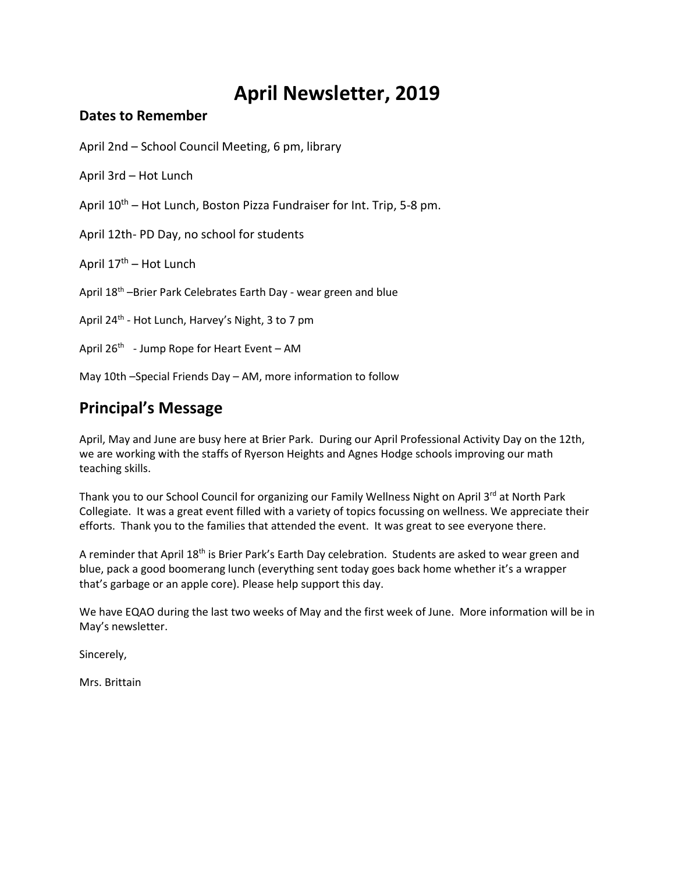# **April Newsletter, 2019**

#### **Dates to Remember**

April 2nd – School Council Meeting, 6 pm, library

April 3rd – Hot Lunch

April 10<sup>th</sup> – Hot Lunch, Boston Pizza Fundraiser for Int. Trip, 5-8 pm.

April 12th- PD Day, no school for students

April 17<sup>th</sup> – Hot Lunch

April 18<sup>th</sup> –Brier Park Celebrates Earth Day - wear green and blue

April 24<sup>th</sup> - Hot Lunch, Harvey's Night, 3 to 7 pm

April 26<sup>th</sup> - Jump Rope for Heart Event – AM

May 10th –Special Friends Day – AM, more information to follow

## **Principal's Message**

April, May and June are busy here at Brier Park. During our April Professional Activity Day on the 12th, we are working with the staffs of Ryerson Heights and Agnes Hodge schools improving our math teaching skills.

Thank you to our School Council for organizing our Family Wellness Night on April 3rd at North Park Collegiate. It was a great event filled with a variety of topics focussing on wellness. We appreciate their efforts. Thank you to the families that attended the event. It was great to see everyone there.

A reminder that April 18<sup>th</sup> is Brier Park's Earth Day celebration. Students are asked to wear green and blue, pack a good boomerang lunch (everything sent today goes back home whether it's a wrapper that's garbage or an apple core). Please help support this day.

We have EQAO during the last two weeks of May and the first week of June. More information will be in May's newsletter.

Sincerely,

Mrs. Brittain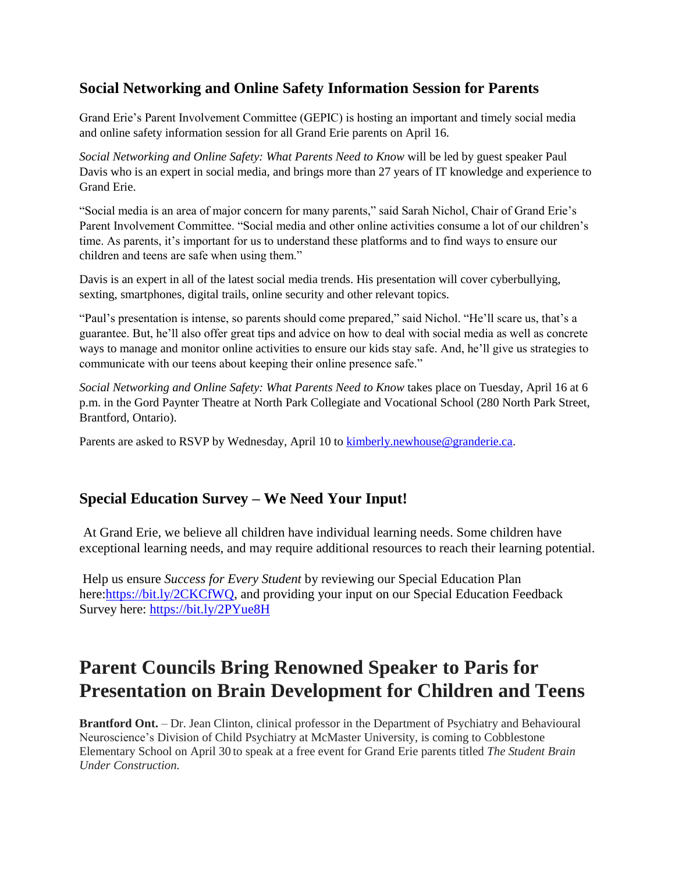### **Social Networking and Online Safety Information Session for Parents**

Grand Erie's Parent Involvement Committee (GEPIC) is hosting an important and timely social media and online safety information session for all Grand Erie parents on April 16.

*Social Networking and Online Safety: What Parents Need to Know* will be led by guest speaker Paul Davis who is an expert in social media, and brings more than 27 years of IT knowledge and experience to Grand Erie.

"Social media is an area of major concern for many parents," said Sarah Nichol, Chair of Grand Erie's Parent Involvement Committee. "Social media and other online activities consume a lot of our children's time. As parents, it's important for us to understand these platforms and to find ways to ensure our children and teens are safe when using them."

Davis is an expert in all of the latest social media trends. His presentation will cover cyberbullying, sexting, smartphones, digital trails, online security and other relevant topics.

"Paul's presentation is intense, so parents should come prepared," said Nichol. "He'll scare us, that's a guarantee. But, he'll also offer great tips and advice on how to deal with social media as well as concrete ways to manage and monitor online activities to ensure our kids stay safe. And, he'll give us strategies to communicate with our teens about keeping their online presence safe."

*Social Networking and Online Safety: What Parents Need to Know* takes place on Tuesday, April 16 at 6 p.m. in the Gord Paynter Theatre at North Park Collegiate and Vocational School (280 North Park Street, Brantford, Ontario).

Parents are asked to RSVP by Wednesday, April 10 to **kimberly** newhouse @granderie.ca.

### **Special Education Survey – We Need Your Input!**

At Grand Erie, we believe all children have individual learning needs. Some children have exceptional learning needs, and may require additional resources to reach their learning potential.

Help us ensure *Success for Every Student* by reviewing our Special Education Plan here[:https://bit.ly/2CKCfWQ,](https://bit.ly/2CKCfWQ) and providing your input on our Special Education Feedback Survey here: <https://bit.ly/2PYue8H>

## **Parent Councils Bring Renowned Speaker to Paris for Presentation on Brain Development for Children and Teens**

**Brantford Ont.** – Dr. Jean Clinton, clinical professor in the Department of Psychiatry and Behavioural Neuroscience's Division of Child Psychiatry at McMaster University, is coming to Cobblestone Elementary School on April 30 to speak at a free event for Grand Erie parents titled *The Student Brain Under Construction.*